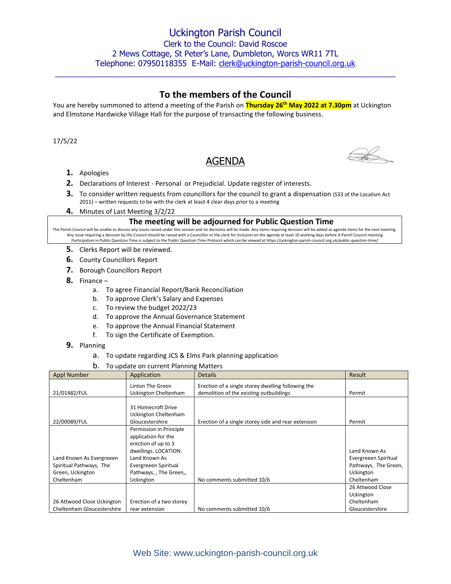# **To the members of the Council**

 $\_$  , and the set of the set of the set of the set of the set of the set of the set of the set of the set of the set of the set of the set of the set of the set of the set of the set of the set of the set of the set of th

You are hereby summoned to attend a meeting of the Parish on **Thursday 26th May 2022 at 7.30pm** at Uckington and Elmstone Hardwicke Village Hall for the purpose of transacting the following business.

17/5/22

# AGENDA



- **1.** Apologies
- **2.** Declarations of Interest Personal or Prejudicial. Update register of interests.
- **3.** To consider written requests from councillors for the council to grant a dispensation (S33 of the Localism Act 2011) – written requests to be with the clerk at least 4 clear days prior to a meeting
- **4.** Minutes of Last Meeting 3/2/22

### **The meeting will be adjourned for Public Question Time**

The Parish Council will be unable to discuss any issues raised under this session and no decisions will be made. Any items requiring decision will be added as agenda items for the next meeting. Any issue requiring a decision by the Council should be raised with a Councillor or the clerk for inclusion on the agenda at least 10 working days before A Parish Council meeting. Participation in Public Question Time is subject to the Public Question Time Protocol which can be viewed at https://uckington-parish-council.org.uk/public-question-time/

- **5.** Clerks Report will be reviewed.
- **6.** County Councillors Report
- **7.** Borough Councillors Report
- **8.** Finance
	- a. To agree Financial Report/Bank Reconciliation
	- b. To approve Clerk's Salary and Expenses
	- c. To review the budget 2022/23
	- d. To approve the Annual Governance Statement
	- e. To approve the Annual Financial Statement
	- f. To sign the Certificate of Exemption.
- **9.** Planning
	- a. To update regarding JCS & Elms Park planning application
	- b. To update on current Planning Matters

| <b>Appl Number</b>         | Application              | <b>Details</b>                                      | Result               |
|----------------------------|--------------------------|-----------------------------------------------------|----------------------|
|                            | Linton The Green         | Erection of a single storey dwelling following the  |                      |
| 21/01482/FUL               | Uckington Cheltenham     | demolition of the existing outbuildings             | Permit               |
|                            |                          |                                                     |                      |
|                            | 31 Homecroft Drive       |                                                     |                      |
|                            | Uckington Cheltenham     |                                                     |                      |
| 22/00089/FUL               | Gloucestershire          | Erection of a single storey side and rear extension | Permit               |
|                            | Permission in Principle  |                                                     |                      |
|                            | application for the      |                                                     |                      |
|                            | erection of up to 3      |                                                     |                      |
|                            | dwellings. LOCATION:     |                                                     | Land Known As        |
| Land Known As Evergreeen   | Land Known As            |                                                     | Evergreeen Spiritual |
| Spiritual Pathways, The    | Evergreeen Spiritual     |                                                     | Pathways, The Green, |
| Green, Uckington           | Pathways, , The Green,,  |                                                     | <b>Uckington</b>     |
| Cheltenham                 | Uckington                | No comments submitted 10/6                          | Cheltenham           |
|                            |                          |                                                     | 26 Attwood Close     |
|                            |                          |                                                     | Uckington            |
| 26 Attwood Close Uckington | Erection of a two storey |                                                     | Cheltenham           |
| Cheltenham Gloucestershire | rear extension           | No comments submitted 10/6                          | Gloucestershire      |